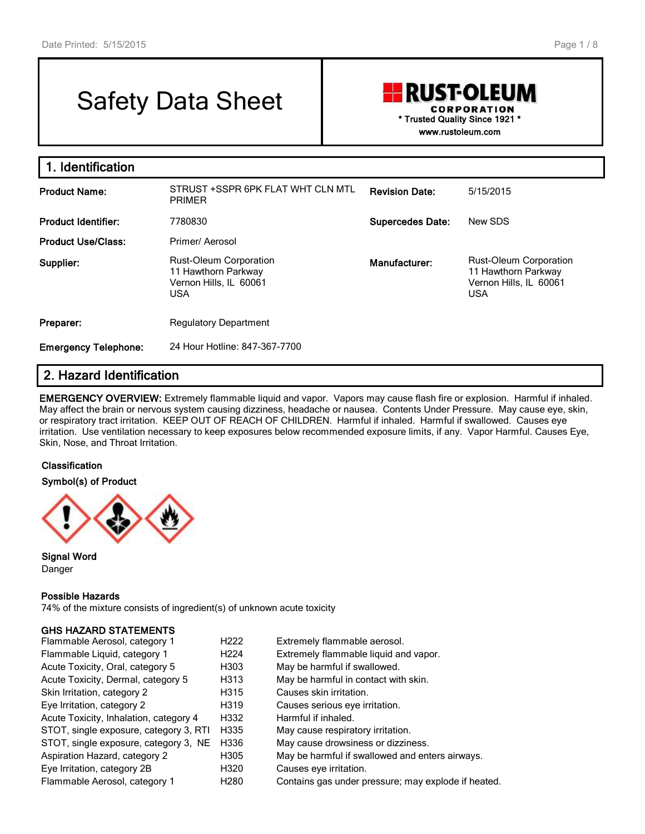# Safety Data Sheet

## **RUST-OLEUM** CORPORATION **\* Trusted Quality Since 1921 \* www.rustoleum.com**

**1. Identification Product Name:** STRUST +SSPR 6PK FLAT WHT CLN MTL PRIMER **Revision Date:** 5/15/2015 **Product Identifier:** 7780830 **Supercedes Date:** New SDS **Product Use/Class:** Primer/ Aerosol **Supplier:** Rust-Oleum Corporation 11 Hawthorn Parkway Vernon Hills, IL 60061 USA **Manufacturer:** Rust-Oleum Corporation 11 Hawthorn Parkway Vernon Hills, IL 60061 USA **Preparer:** Regulatory Department **Emergency Telephone:** 24 Hour Hotline: 847-367-7700

# **2. Hazard Identification**

**EMERGENCY OVERVIEW:** Extremely flammable liquid and vapor. Vapors may cause flash fire or explosion. Harmful if inhaled. May affect the brain or nervous system causing dizziness, headache or nausea. Contents Under Pressure. May cause eye, skin, or respiratory tract irritation. KEEP OUT OF REACH OF CHILDREN. Harmful if inhaled. Harmful if swallowed. Causes eye irritation. Use ventilation necessary to keep exposures below recommended exposure limits, if any. Vapor Harmful. Causes Eye, Skin, Nose, and Throat Irritation.

#### **Classification**

**Symbol(s) of Product**



**Signal Word** Danger

#### **Possible Hazards**

74% of the mixture consists of ingredient(s) of unknown acute toxicity

#### **GHS HAZARD STATEMENTS**

| Flammable Aerosol, category 1          | H <sub>222</sub> | Extremely flammable aerosol.                        |
|----------------------------------------|------------------|-----------------------------------------------------|
| Flammable Liquid, category 1           | H <sub>224</sub> | Extremely flammable liquid and vapor.               |
| Acute Toxicity, Oral, category 5       | H303             | May be harmful if swallowed.                        |
| Acute Toxicity, Dermal, category 5     | H313             | May be harmful in contact with skin.                |
| Skin Irritation, category 2            | H315             | Causes skin irritation.                             |
| Eye Irritation, category 2             | H319             | Causes serious eye irritation.                      |
| Acute Toxicity, Inhalation, category 4 | H332             | Harmful if inhaled.                                 |
| STOT, single exposure, category 3, RTI | H335             | May cause respiratory irritation.                   |
| STOT, single exposure, category 3, NE  | H336             | May cause drowsiness or dizziness.                  |
| Aspiration Hazard, category 2          | H305             | May be harmful if swallowed and enters airways.     |
| Eye Irritation, category 2B            | H320             | Causes eye irritation.                              |
| Flammable Aerosol, category 1          | H <sub>280</sub> | Contains gas under pressure; may explode if heated. |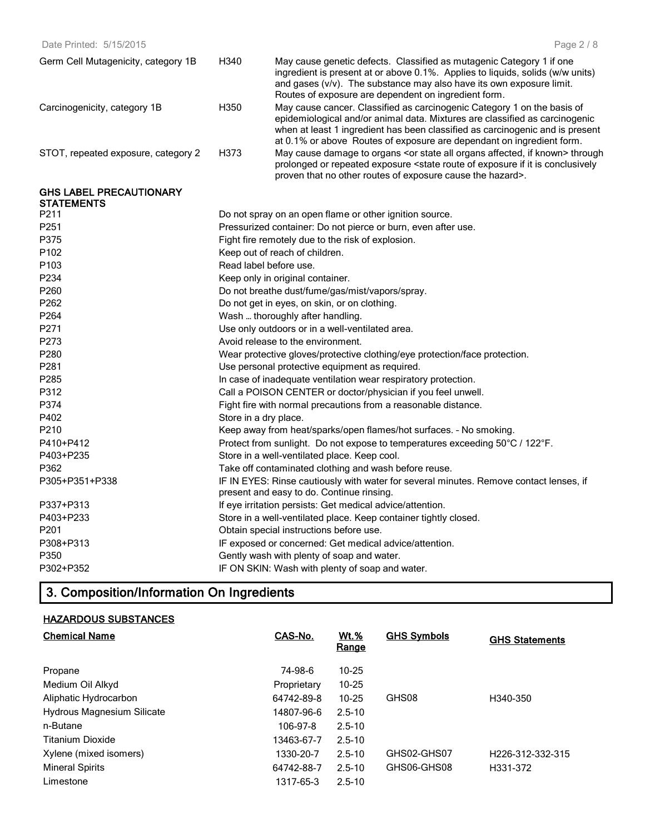| Date Printed: 5/15/2015             |                                              | Page 2 / 8                                                                                                                                                                                                                                                                                                       |  |  |
|-------------------------------------|----------------------------------------------|------------------------------------------------------------------------------------------------------------------------------------------------------------------------------------------------------------------------------------------------------------------------------------------------------------------|--|--|
| Germ Cell Mutagenicity, category 1B | H340                                         | May cause genetic defects. Classified as mutagenic Category 1 if one<br>ingredient is present at or above 0.1%. Applies to liquids, solids (w/w units)<br>and gases (v/v). The substance may also have its own exposure limit.<br>Routes of exposure are dependent on ingredient form.                           |  |  |
| Carcinogenicity, category 1B        | H350                                         | May cause cancer. Classified as carcinogenic Category 1 on the basis of<br>epidemiological and/or animal data. Mixtures are classified as carcinogenic<br>when at least 1 ingredient has been classified as carcinogenic and is present<br>at 0.1% or above Routes of exposure are dependant on ingredient form. |  |  |
| STOT, repeated exposure, category 2 | H373                                         | May cause damage to organs <or affected,="" all="" if="" known="" organs="" state=""> through<br/>prolonged or repeated exposure <state conclusively<br="" exposure="" if="" is="" it="" of="" route="">proven that no other routes of exposure cause the hazard&gt;.</state></or>                               |  |  |
| <b>GHS LABEL PRECAUTIONARY</b>      |                                              |                                                                                                                                                                                                                                                                                                                  |  |  |
| <b>STATEMENTS</b><br>P211           |                                              | Do not spray on an open flame or other ignition source.                                                                                                                                                                                                                                                          |  |  |
| P251                                |                                              | Pressurized container: Do not pierce or burn, even after use.                                                                                                                                                                                                                                                    |  |  |
| P375                                |                                              | Fight fire remotely due to the risk of explosion.                                                                                                                                                                                                                                                                |  |  |
| P <sub>102</sub>                    |                                              | Keep out of reach of children.                                                                                                                                                                                                                                                                                   |  |  |
| P <sub>103</sub>                    |                                              | Read label before use.                                                                                                                                                                                                                                                                                           |  |  |
| P234                                |                                              | Keep only in original container.                                                                                                                                                                                                                                                                                 |  |  |
| P260                                |                                              | Do not breathe dust/fume/gas/mist/vapors/spray.                                                                                                                                                                                                                                                                  |  |  |
| P262                                | Do not get in eyes, on skin, or on clothing. |                                                                                                                                                                                                                                                                                                                  |  |  |
| P <sub>264</sub>                    | Wash  thoroughly after handling.             |                                                                                                                                                                                                                                                                                                                  |  |  |
| P271                                |                                              | Use only outdoors or in a well-ventilated area.                                                                                                                                                                                                                                                                  |  |  |
| P273                                |                                              | Avoid release to the environment.                                                                                                                                                                                                                                                                                |  |  |
| P280                                |                                              | Wear protective gloves/protective clothing/eye protection/face protection.                                                                                                                                                                                                                                       |  |  |
| P <sub>281</sub>                    |                                              | Use personal protective equipment as required.                                                                                                                                                                                                                                                                   |  |  |
| P <sub>285</sub>                    |                                              | In case of inadequate ventilation wear respiratory protection.                                                                                                                                                                                                                                                   |  |  |
| P312                                |                                              | Call a POISON CENTER or doctor/physician if you feel unwell.                                                                                                                                                                                                                                                     |  |  |
| P374                                |                                              | Fight fire with normal precautions from a reasonable distance.                                                                                                                                                                                                                                                   |  |  |
| P402                                |                                              | Store in a dry place.                                                                                                                                                                                                                                                                                            |  |  |
| P <sub>210</sub>                    |                                              | Keep away from heat/sparks/open flames/hot surfaces. - No smoking.                                                                                                                                                                                                                                               |  |  |
| P410+P412                           |                                              | Protect from sunlight. Do not expose to temperatures exceeding 50°C / 122°F.                                                                                                                                                                                                                                     |  |  |
| P403+P235                           |                                              | Store in a well-ventilated place. Keep cool.                                                                                                                                                                                                                                                                     |  |  |
| P362                                |                                              | Take off contaminated clothing and wash before reuse.                                                                                                                                                                                                                                                            |  |  |
| P305+P351+P338                      |                                              | IF IN EYES: Rinse cautiously with water for several minutes. Remove contact lenses, if                                                                                                                                                                                                                           |  |  |
|                                     |                                              | present and easy to do. Continue rinsing.                                                                                                                                                                                                                                                                        |  |  |
| P337+P313                           |                                              | If eye irritation persists: Get medical advice/attention.                                                                                                                                                                                                                                                        |  |  |
| P403+P233                           |                                              | Store in a well-ventilated place. Keep container tightly closed.                                                                                                                                                                                                                                                 |  |  |
| P <sub>201</sub>                    |                                              | Obtain special instructions before use.                                                                                                                                                                                                                                                                          |  |  |
| P308+P313                           |                                              | IF exposed or concerned: Get medical advice/attention.                                                                                                                                                                                                                                                           |  |  |
| P350                                |                                              | Gently wash with plenty of soap and water.                                                                                                                                                                                                                                                                       |  |  |
| P302+P352                           |                                              | IF ON SKIN: Wash with plenty of soap and water.                                                                                                                                                                                                                                                                  |  |  |
|                                     |                                              |                                                                                                                                                                                                                                                                                                                  |  |  |

# **3. Composition/Information On Ingredients**

# **HAZARDOUS SUBSTANCES**

| <b>Chemical Name</b>       | CAS-No.     | $Wt.$ %<br><u>Range</u> | <b>GHS Symbols</b> | <b>GHS Statements</b>         |
|----------------------------|-------------|-------------------------|--------------------|-------------------------------|
| Propane                    | 74-98-6     | $10 - 25$               |                    |                               |
| Medium Oil Alkyd           | Proprietary | $10 - 25$               |                    |                               |
| Aliphatic Hydrocarbon      | 64742-89-8  | $10 - 25$               | GHS08              | H340-350                      |
| Hydrous Magnesium Silicate | 14807-96-6  | $2.5 - 10$              |                    |                               |
| n-Butane                   | 106-97-8    | $2.5 - 10$              |                    |                               |
| <b>Titanium Dioxide</b>    | 13463-67-7  | $2.5 - 10$              |                    |                               |
| Xylene (mixed isomers)     | 1330-20-7   | $2.5 - 10$              | GHS02-GHS07        | H <sub>226</sub> -312-332-315 |
| <b>Mineral Spirits</b>     | 64742-88-7  | $2.5 - 10$              | GHS06-GHS08        | H331-372                      |
| Limestone                  | 1317-65-3   | $2.5 - 10$              |                    |                               |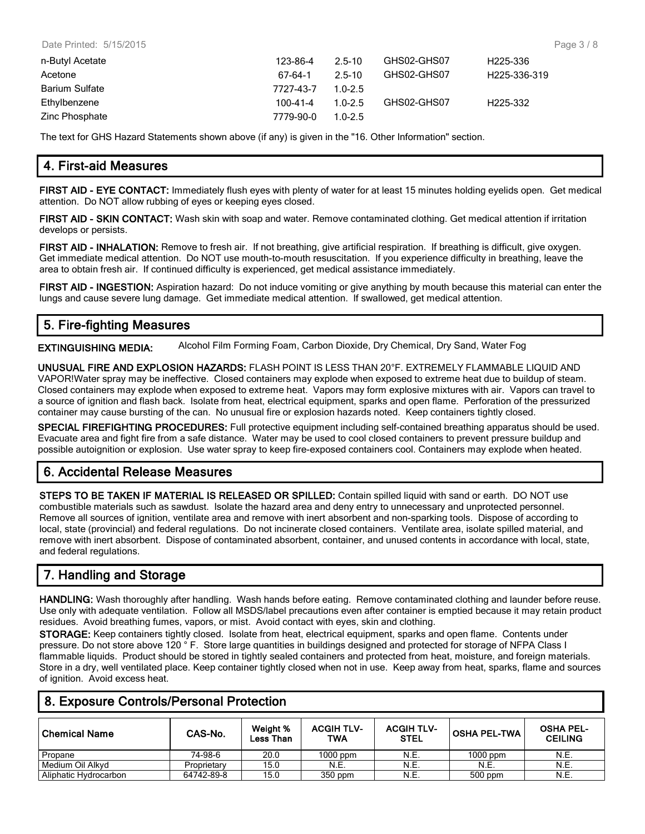| Date Printed: 5/15/2015 |           |             |             | Page 3/8                  |
|-------------------------|-----------|-------------|-------------|---------------------------|
| n-Butyl Acetate         | 123-86-4  | $2.5 - 10$  | GHS02-GHS07 | H225-336                  |
| Acetone                 | 67-64-1   | 2.5-10      | GHS02-GHS07 | H <sub>225</sub> -336-319 |
| <b>Barium Sulfate</b>   | 7727-43-7 | $1.0 - 2.5$ |             |                           |
| Ethylbenzene            | 100-41-4  | $1.0 - 2.5$ | GHS02-GHS07 | H225-332                  |
| Zinc Phosphate          | 7779-90-0 | $1.0 - 2.5$ |             |                           |

The text for GHS Hazard Statements shown above (if any) is given in the "16. Other Information" section.

# **4. First-aid Measures**

**FIRST AID - EYE CONTACT:** Immediately flush eyes with plenty of water for at least 15 minutes holding eyelids open. Get medical attention. Do NOT allow rubbing of eyes or keeping eyes closed.

**FIRST AID - SKIN CONTACT:** Wash skin with soap and water. Remove contaminated clothing. Get medical attention if irritation develops or persists.

**FIRST AID - INHALATION:** Remove to fresh air. If not breathing, give artificial respiration. If breathing is difficult, give oxygen. Get immediate medical attention. Do NOT use mouth-to-mouth resuscitation. If you experience difficulty in breathing, leave the area to obtain fresh air. If continued difficulty is experienced, get medical assistance immediately.

**FIRST AID - INGESTION:** Aspiration hazard: Do not induce vomiting or give anything by mouth because this material can enter the lungs and cause severe lung damage. Get immediate medical attention. If swallowed, get medical attention.

# **5. Fire-fighting Measures**

**EXTINGUISHING MEDIA:** Alcohol Film Forming Foam, Carbon Dioxide, Dry Chemical, Dry Sand, Water Fog

**UNUSUAL FIRE AND EXPLOSION HAZARDS:** FLASH POINT IS LESS THAN 20°F. EXTREMELY FLAMMABLE LIQUID AND VAPOR!Water spray may be ineffective. Closed containers may explode when exposed to extreme heat due to buildup of steam. Closed containers may explode when exposed to extreme heat. Vapors may form explosive mixtures with air. Vapors can travel to a source of ignition and flash back. Isolate from heat, electrical equipment, sparks and open flame. Perforation of the pressurized container may cause bursting of the can. No unusual fire or explosion hazards noted. Keep containers tightly closed.

**SPECIAL FIREFIGHTING PROCEDURES:** Full protective equipment including self-contained breathing apparatus should be used. Evacuate area and fight fire from a safe distance. Water may be used to cool closed containers to prevent pressure buildup and possible autoignition or explosion. Use water spray to keep fire-exposed containers cool. Containers may explode when heated.

# **6. Accidental Release Measures**

**STEPS TO BE TAKEN IF MATERIAL IS RELEASED OR SPILLED:** Contain spilled liquid with sand or earth. DO NOT use combustible materials such as sawdust. Isolate the hazard area and deny entry to unnecessary and unprotected personnel. Remove all sources of ignition, ventilate area and remove with inert absorbent and non-sparking tools. Dispose of according to local, state (provincial) and federal regulations. Do not incinerate closed containers. Ventilate area, isolate spilled material, and remove with inert absorbent. Dispose of contaminated absorbent, container, and unused contents in accordance with local, state, and federal regulations.

# **7. Handling and Storage**

**HANDLING:** Wash thoroughly after handling. Wash hands before eating. Remove contaminated clothing and launder before reuse. Use only with adequate ventilation. Follow all MSDS/label precautions even after container is emptied because it may retain product residues. Avoid breathing fumes, vapors, or mist. Avoid contact with eyes, skin and clothing.

**STORAGE:** Keep containers tightly closed. Isolate from heat, electrical equipment, sparks and open flame. Contents under pressure. Do not store above 120 ° F. Store large quantities in buildings designed and protected for storage of NFPA Class I flammable liquids. Product should be stored in tightly sealed containers and protected from heat, moisture, and foreign materials. Store in a dry, well ventilated place. Keep container tightly closed when not in use. Keep away from heat, sparks, flame and sources of ignition. Avoid excess heat.

## **8. Exposure Controls/Personal Protection**

| <b>Chemical Name</b>  | CAS-No.     | Weight %<br>Less Than | <b>ACGIH TLV-</b><br>TWA | <b>ACGIH TLV-</b><br><b>STEL</b> | <b>OSHA PEL-TWA</b> | <b>OSHA PEL-</b><br><b>CEILING</b> |
|-----------------------|-------------|-----------------------|--------------------------|----------------------------------|---------------------|------------------------------------|
| Propane               | 74-98-6     | 20.0                  | $1000$ ppm               | <b>N.E.</b>                      | $1000$ ppm          | N.E.                               |
| Medium Oil Alkvd      | Proprietary | 15.0                  | N.E.                     | N.E.                             | N.E.                | N.E.                               |
| Aliphatic Hydrocarbon | 64742-89-8  | 15.0                  | 350 ppm                  | N.E.                             | 500 ppm             | N.E.                               |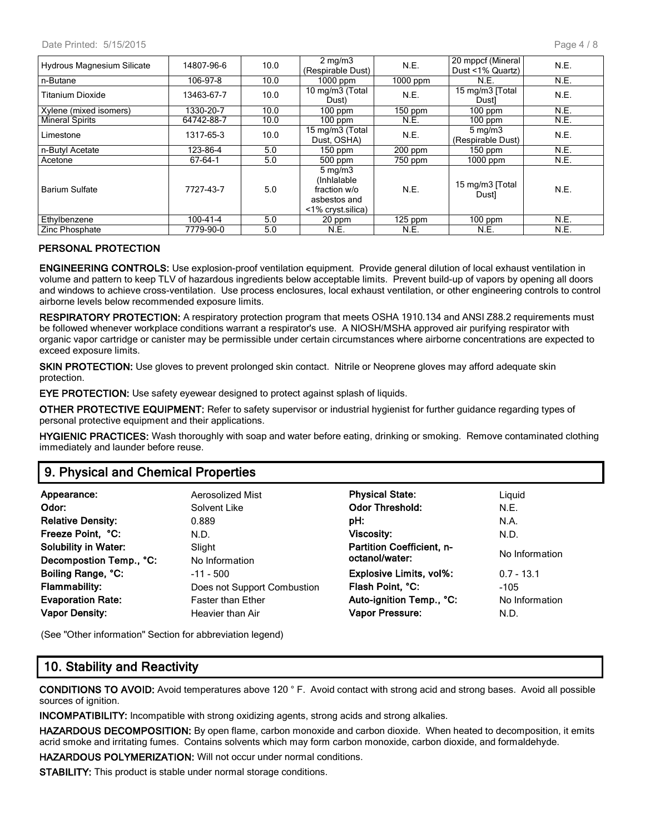| <b>Hydrous Magnesium Silicate</b> | 14807-96-6 | 10.0 | $2 \text{ mg/m}$<br>(Respirable Dust)                                                 | N.E.                 | 20 mppcf (Mineral<br>Dust <1% Quartz) | N.E. |
|-----------------------------------|------------|------|---------------------------------------------------------------------------------------|----------------------|---------------------------------------|------|
| n-Butane                          | 106-97-8   | 10.0 | $1000$ ppm                                                                            | $1000$ ppm           | N.E.                                  | N.E. |
| <b>Titanium Dioxide</b>           | 13463-67-7 | 10.0 | 10 mg/m3 (Total<br>Dust)                                                              | N.E.                 | 15 mg/m3 [Total]<br>Dustl             | N.E. |
| Xylene (mixed isomers)            | 1330-20-7  | 10.0 | $100$ ppm                                                                             | $150$ ppm            | $100$ ppm                             | N.E. |
| <b>Mineral Spirits</b>            | 64742-88-7 | 10.0 | $100$ ppm                                                                             | N.E.                 | $100$ ppm                             | N.E. |
| Limestone                         | 1317-65-3  | 10.0 | 15 mg/m3 (Total<br>Dust, OSHA)                                                        | N.E.                 | $5 \text{ mg/m}$<br>(Respirable Dust) | N.E. |
| n-Butyl Acetate                   | 123-86-4   | 5.0  | $150$ ppm                                                                             | $200$ ppm            | $150$ ppm                             | N.E. |
| Acetone                           | 67-64-1    | 5.0  | $500$ ppm                                                                             | 750 ppm              | $1000$ ppm                            | N.E. |
| <b>Barium Sulfate</b>             | 7727-43-7  | 5.0  | $5 \text{ mg/m}$<br>(Inhialable)<br>fraction w/o<br>asbestos and<br><1% cryst.silica) | N.E.                 | 15 mg/m3 [Total]<br>Dust]             | N.E. |
| Ethylbenzene                      | 100-41-4   | 5.0  | 20 ppm                                                                                | $\overline{1}25$ ppm | $100$ ppm                             | N.E. |
| Zinc Phosphate                    | 7779-90-0  | 5.0  | N.E.                                                                                  | N.E.                 | N.E.                                  | N.E. |

#### **PERSONAL PROTECTION**

**ENGINEERING CONTROLS:** Use explosion-proof ventilation equipment. Provide general dilution of local exhaust ventilation in volume and pattern to keep TLV of hazardous ingredients below acceptable limits. Prevent build-up of vapors by opening all doors and windows to achieve cross-ventilation. Use process enclosures, local exhaust ventilation, or other engineering controls to control airborne levels below recommended exposure limits.

**RESPIRATORY PROTECTION:** A respiratory protection program that meets OSHA 1910.134 and ANSI Z88.2 requirements must be followed whenever workplace conditions warrant a respirator's use. A NIOSH/MSHA approved air purifying respirator with organic vapor cartridge or canister may be permissible under certain circumstances where airborne concentrations are expected to exceed exposure limits.

**SKIN PROTECTION:** Use gloves to prevent prolonged skin contact. Nitrile or Neoprene gloves may afford adequate skin protection.

**EYE PROTECTION:** Use safety eyewear designed to protect against splash of liquids.

**OTHER PROTECTIVE EQUIPMENT:** Refer to safety supervisor or industrial hygienist for further guidance regarding types of personal protective equipment and their applications.

**HYGIENIC PRACTICES:** Wash thoroughly with soap and water before eating, drinking or smoking. Remove contaminated clothing immediately and launder before reuse.

## **9. Physical and Chemical Properties**

| Appearance:                 | Aerosolized Mist            | <b>Physical State:</b>           | Liguid         |
|-----------------------------|-----------------------------|----------------------------------|----------------|
| Odor:                       | Solvent Like                | <b>Odor Threshold:</b>           | N.E.           |
| <b>Relative Density:</b>    | 0.889                       | pH:                              | N.A.           |
| Freeze Point, °C:           | N.D.                        | <b>Viscosity:</b>                | N.D.           |
| <b>Solubility in Water:</b> | Slight                      | <b>Partition Coefficient, n-</b> |                |
| Decompostion Temp., °C:     | No Information              | octanol/water:                   | No Information |
| Boiling Range, °C:          | $-11 - 500$                 | <b>Explosive Limits, vol%:</b>   | $0.7 - 13.1$   |
| <b>Flammability:</b>        | Does not Support Combustion | Flash Point, °C:                 | $-105$         |
| <b>Evaporation Rate:</b>    | <b>Faster than Ether</b>    | Auto-ignition Temp., °C:         | No Information |
| <b>Vapor Density:</b>       | Heavier than Air            | <b>Vapor Pressure:</b>           | N.D.           |

(See "Other information" Section for abbreviation legend)

#### **10. Stability and Reactivity**

**CONDITIONS TO AVOID:** Avoid temperatures above 120 ° F. Avoid contact with strong acid and strong bases. Avoid all possible sources of ignition.

**INCOMPATIBILITY:** Incompatible with strong oxidizing agents, strong acids and strong alkalies.

**HAZARDOUS DECOMPOSITION:** By open flame, carbon monoxide and carbon dioxide. When heated to decomposition, it emits acrid smoke and irritating fumes. Contains solvents which may form carbon monoxide, carbon dioxide, and formaldehyde.

**HAZARDOUS POLYMERIZATION:** Will not occur under normal conditions.

**STABILITY:** This product is stable under normal storage conditions.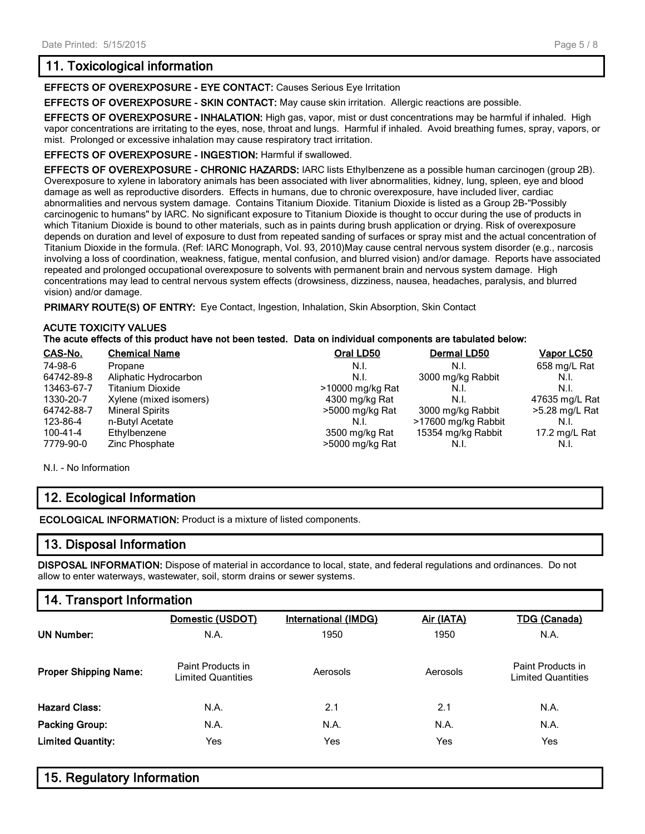# **11. Toxicological information**

**EFFECTS OF OVEREXPOSURE - EYE CONTACT:** Causes Serious Eye Irritation

**EFFECTS OF OVEREXPOSURE - SKIN CONTACT:** May cause skin irritation. Allergic reactions are possible.

**EFFECTS OF OVEREXPOSURE - INHALATION:** High gas, vapor, mist or dust concentrations may be harmful if inhaled. High vapor concentrations are irritating to the eyes, nose, throat and lungs. Harmful if inhaled. Avoid breathing fumes, spray, vapors, or mist. Prolonged or excessive inhalation may cause respiratory tract irritation.

**EFFECTS OF OVEREXPOSURE - INGESTION:** Harmful if swallowed.

**EFFECTS OF OVEREXPOSURE - CHRONIC HAZARDS:** IARC lists Ethylbenzene as a possible human carcinogen (group 2B). Overexposure to xylene in laboratory animals has been associated with liver abnormalities, kidney, lung, spleen, eye and blood damage as well as reproductive disorders. Effects in humans, due to chronic overexposure, have included liver, cardiac abnormalities and nervous system damage. Contains Titanium Dioxide. Titanium Dioxide is listed as a Group 2B-"Possibly carcinogenic to humans" by IARC. No significant exposure to Titanium Dioxide is thought to occur during the use of products in which Titanium Dioxide is bound to other materials, such as in paints during brush application or drying. Risk of overexposure depends on duration and level of exposure to dust from repeated sanding of surfaces or spray mist and the actual concentration of Titanium Dioxide in the formula. (Ref: IARC Monograph, Vol. 93, 2010)May cause central nervous system disorder (e.g., narcosis involving a loss of coordination, weakness, fatigue, mental confusion, and blurred vision) and/or damage. Reports have associated repeated and prolonged occupational overexposure to solvents with permanent brain and nervous system damage. High concentrations may lead to central nervous system effects (drowsiness, dizziness, nausea, headaches, paralysis, and blurred vision) and/or damage.

**PRIMARY ROUTE(S) OF ENTRY:** Eye Contact, Ingestion, Inhalation, Skin Absorption, Skin Contact

#### **ACUTE TOXICITY VALUES The acute effects of this product have not been tested. Data on individual components are tabulated below:**

| CAS-No.        | <b>Chemical Name</b>    | Oral LD50        | <b>Dermal LD50</b>  | <b>Vapor LC50</b> |  |  |  |
|----------------|-------------------------|------------------|---------------------|-------------------|--|--|--|
| 74-98-6        | Propane                 | N.I.             | N.I.                | 658 mg/L Rat      |  |  |  |
| 64742-89-8     | Aliphatic Hydrocarbon   | N.I.             | 3000 mg/kg Rabbit   | N.I.              |  |  |  |
| 13463-67-7     | <b>Titanium Dioxide</b> | >10000 mg/kg Rat | N.I.                | N.I.              |  |  |  |
| 1330-20-7      | Xylene (mixed isomers)  | 4300 mg/kg Rat   | N.I.                | 47635 mg/L Rat    |  |  |  |
| 64742-88-7     | <b>Mineral Spirits</b>  | >5000 mg/kg Rat  | 3000 mg/kg Rabbit   | >5.28 mg/L Rat    |  |  |  |
| 123-86-4       | n-Butyl Acetate         | N.I.             | >17600 mg/kg Rabbit | N.I.              |  |  |  |
| $100 - 41 - 4$ | Ethylbenzene            | 3500 mg/kg Rat   | 15354 mg/kg Rabbit  | 17.2 mg/L Rat     |  |  |  |
| 7779-90-0      | Zinc Phosphate          | >5000 mg/kg Rat  | N.I.                | N.I.              |  |  |  |
|                |                         |                  |                     |                   |  |  |  |

N.I. - No Information

# **12. Ecological Information**

**ECOLOGICAL INFORMATION:** Product is a mixture of listed components.

## **13. Disposal Information**

**DISPOSAL INFORMATION:** Dispose of material in accordance to local, state, and federal regulations and ordinances. Do not allow to enter waterways, wastewater, soil, storm drains or sewer systems.

# **14. Transport Information**

|                              | Domestic (USDOT)                        | <b>International (IMDG)</b> | Air (IATA) | <b>TDG (Canada)</b>                            |
|------------------------------|-----------------------------------------|-----------------------------|------------|------------------------------------------------|
| <b>UN Number:</b>            | N.A.                                    | 1950                        | 1950       | N.A.                                           |
| <b>Proper Shipping Name:</b> | Paint Products in<br>Limited Quantities | Aerosols                    | Aerosols   | Paint Products in<br><b>Limited Quantities</b> |
| <b>Hazard Class:</b>         | N.A.                                    | 2.1                         | 2.1        | N.A.                                           |
| <b>Packing Group:</b>        | N.A.                                    | N.A.                        | N.A.       | N.A.                                           |
| <b>Limited Quantity:</b>     | Yes                                     | Yes                         | Yes        | Yes                                            |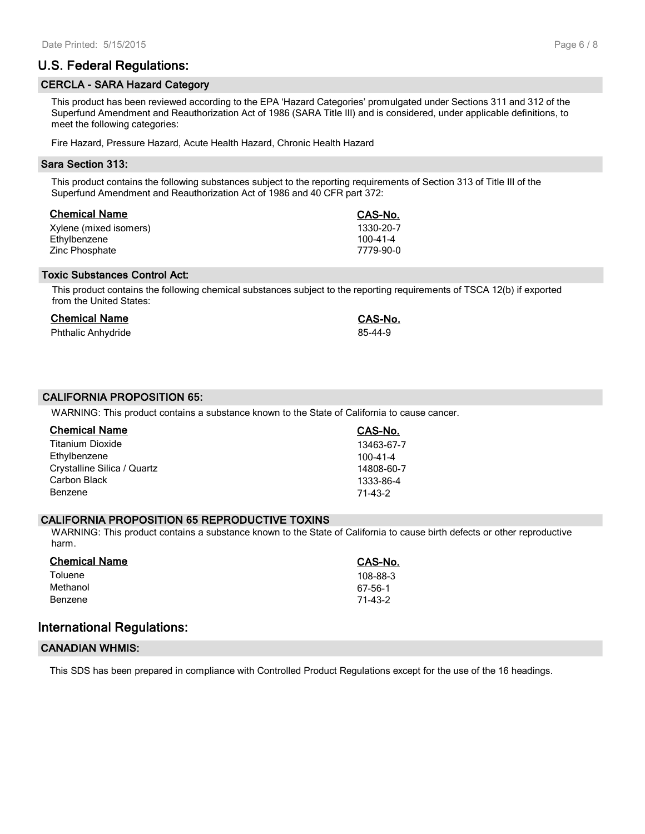# **U.S. Federal Regulations:**

#### **CERCLA - SARA Hazard Category**

This product has been reviewed according to the EPA 'Hazard Categories' promulgated under Sections 311 and 312 of the Superfund Amendment and Reauthorization Act of 1986 (SARA Title III) and is considered, under applicable definitions, to meet the following categories:

Fire Hazard, Pressure Hazard, Acute Health Hazard, Chronic Health Hazard

#### **Sara Section 313:**

This product contains the following substances subject to the reporting requirements of Section 313 of Title III of the Superfund Amendment and Reauthorization Act of 1986 and 40 CFR part 372:

| <b>Chemical Name</b>   | CAS-No.        |
|------------------------|----------------|
| Xylene (mixed isomers) | 1330-20-7      |
| Ethylbenzene           | $100 - 41 - 4$ |
| Zinc Phosphate         | 7779-90-0      |

#### **Toxic Substances Control Act:**

This product contains the following chemical substances subject to the reporting requirements of TSCA 12(b) if exported from the United States:

#### **Chemical Name CAS-No.**

Phthalic Anhydride 85-44-9

#### **CALIFORNIA PROPOSITION 65:**

WARNING: This product contains a substance known to the State of California to cause cancer.

| <b>Chemical Name</b>        | CAS-No.        |
|-----------------------------|----------------|
| <b>Titanium Dioxide</b>     | 13463-67-7     |
| Ethylbenzene                | $100 - 41 - 4$ |
| Crystalline Silica / Quartz | 14808-60-7     |
| Carbon Black                | 1333-86-4      |
| Benzene                     | 71-43-2        |

#### **CALIFORNIA PROPOSITION 65 REPRODUCTIVE TOXINS**

WARNING: This product contains a substance known to the State of California to cause birth defects or other reproductive harm.

| CAS-No.  |
|----------|
| 108-88-3 |
| 67-56-1  |
| 71-43-2  |
|          |

#### **International Regulations:**

#### **CANADIAN WHMIS:**

This SDS has been prepared in compliance with Controlled Product Regulations except for the use of the 16 headings.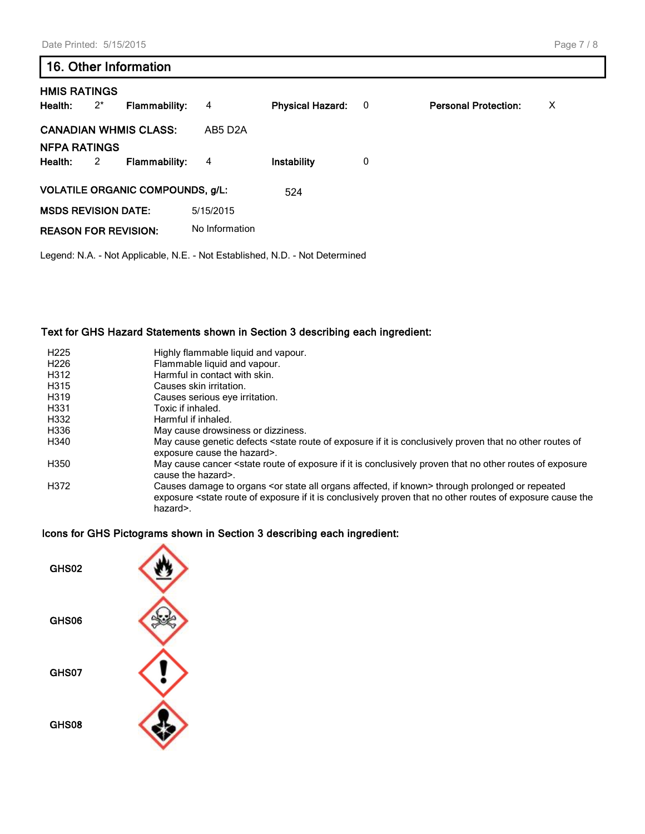#### Page 7 / 8

# **16. Other Information**

| <b>HMIS RATINGS</b><br>Health: | $2^*$ | <b>Flammability:</b>                    | 4              | <b>Physical Hazard:</b> | $\overline{\mathbf{0}}$ | <b>Personal Protection:</b> | X |
|--------------------------------|-------|-----------------------------------------|----------------|-------------------------|-------------------------|-----------------------------|---|
| <b>NFPA RATINGS</b>            |       | <b>CANADIAN WHMIS CLASS:</b>            | AB5 D2A        |                         |                         |                             |   |
| Health:                        | 2     | <b>Flammability:</b>                    | 4              | Instability             | 0                       |                             |   |
|                                |       | <b>VOLATILE ORGANIC COMPOUNDS, g/L:</b> |                | 524                     |                         |                             |   |
| <b>MSDS REVISION DATE:</b>     |       |                                         | 5/15/2015      |                         |                         |                             |   |
| <b>REASON FOR REVISION:</b>    |       |                                         | No Information |                         |                         |                             |   |

Legend: N.A. - Not Applicable, N.E. - Not Established, N.D. - Not Determined

#### **Text for GHS Hazard Statements shown in Section 3 describing each ingredient:**

| H <sub>225</sub> | Highly flammable liquid and vapour.                                                                                                                                                                                                                                                      |
|------------------|------------------------------------------------------------------------------------------------------------------------------------------------------------------------------------------------------------------------------------------------------------------------------------------|
| H <sub>226</sub> | Flammable liquid and vapour.                                                                                                                                                                                                                                                             |
| H312             | Harmful in contact with skin.                                                                                                                                                                                                                                                            |
| H315             | Causes skin irritation.                                                                                                                                                                                                                                                                  |
| H319             | Causes serious eye irritation.                                                                                                                                                                                                                                                           |
| H331             | Toxic if inhaled.                                                                                                                                                                                                                                                                        |
| H332             | Harmful if inhaled.                                                                                                                                                                                                                                                                      |
| H336             | May cause drowsiness or dizziness.                                                                                                                                                                                                                                                       |
| H340             | May cause genetic defects <state conclusively="" exposure="" if="" is="" it="" no="" of="" of<br="" other="" proven="" route="" routes="" that="">exposure cause the hazard&gt;.</state>                                                                                                 |
| H350             | May cause cancer <state conclusively="" exposure="" exposure<br="" if="" is="" it="" no="" of="" other="" proven="" route="" routes="" that="">cause the hazard&gt;.</state>                                                                                                             |
| H372             | Causes damage to organs <or affected,="" all="" if="" known="" organs="" state=""> through prolonged or repeated<br/>exposure <state cause="" conclusively="" exposure="" if="" is="" it="" no="" of="" other="" proven="" route="" routes="" that="" the<br="">hazard&gt;.</state></or> |

#### **Icons for GHS Pictograms shown in Section 3 describing each ingredient:**